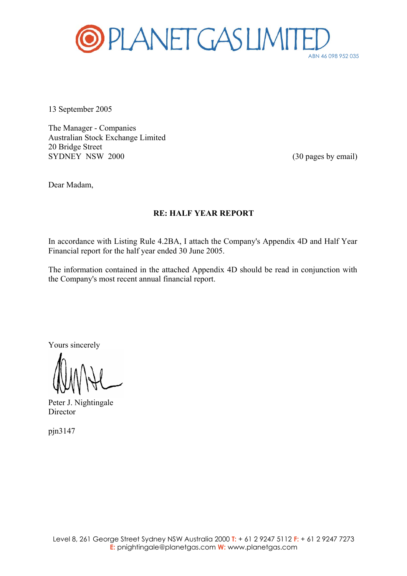

13 September 2005

The Manager - Companies Australian Stock Exchange Limited 20 Bridge Street SYDNEY NSW 2000 (30 pages by email)

Dear Madam,

### **RE: HALF YEAR REPORT**

In accordance with Listing Rule 4.2BA, I attach the Company's Appendix 4D and Half Year Financial report for the half year ended 30 June 2005.

The information contained in the attached Appendix 4D should be read in conjunction with the Company's most recent annual financial report.

Yours sincerely

Peter J. Nightingale **Director** 

pjn3147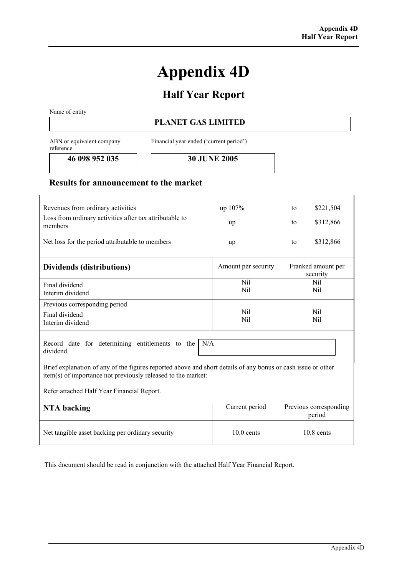# **Appendix 4D**

# **Half Year Report**

Name of entity

### **PLANET GAS LIMITED**

ABN or equivalent company reference

Financial year ended ('current period')

**46 098 952 035 30 JUNE 2005** 

### **Results for announcement to the market**

| Revenues from ordinary activities                                                                                                                                                                                                                   | up 107%             | to | \$221,504                        |  |
|-----------------------------------------------------------------------------------------------------------------------------------------------------------------------------------------------------------------------------------------------------|---------------------|----|----------------------------------|--|
| Loss from ordinary activities after tax attributable to<br>members                                                                                                                                                                                  | up                  | to | \$312,866                        |  |
| Net loss for the period attributable to members                                                                                                                                                                                                     | up                  | to | \$312,866                        |  |
| Dividends (distributions)                                                                                                                                                                                                                           | Amount per security |    | Franked amount per<br>security   |  |
| Final dividend                                                                                                                                                                                                                                      | Nil                 |    | Nil                              |  |
| Interim dividend                                                                                                                                                                                                                                    | Nil                 |    | Nil                              |  |
| Previous corresponding period                                                                                                                                                                                                                       |                     |    |                                  |  |
|                                                                                                                                                                                                                                                     | Nil                 |    | Nil                              |  |
| Final dividend<br>Interim dividend                                                                                                                                                                                                                  | Nil                 |    | Nil                              |  |
|                                                                                                                                                                                                                                                     |                     |    |                                  |  |
| N/A<br>Record date for determining entitlements to the<br>dividend.<br>Brief explanation of any of the figures reported above and short details of any bonus or cash issue or other<br>item(s) of importance not previously released to the market: |                     |    |                                  |  |
|                                                                                                                                                                                                                                                     |                     |    |                                  |  |
| Refer attached Half Year Financial Report.                                                                                                                                                                                                          |                     |    |                                  |  |
| <b>NTA</b> backing                                                                                                                                                                                                                                  | Current period      |    | Previous corresponding<br>period |  |
| Net tangible asset backing per ordinary security                                                                                                                                                                                                    | $10.0$ cents        |    | $10.8$ cents                     |  |

This document should be read in conjunction with the attached Half Year Financial Report.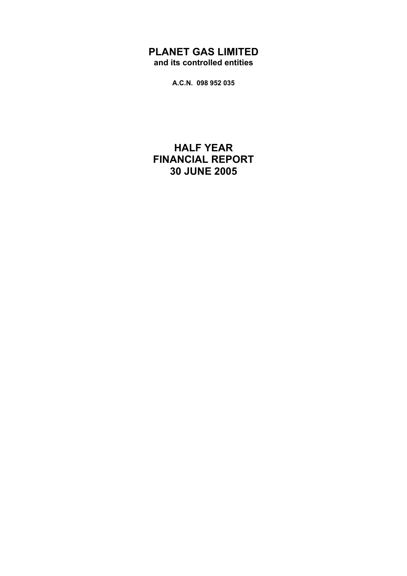## **PLANET GAS LIMITED and its controlled entities**

**A.C.N. 098 952 035** 

# **HALF YEAR FINANCIAL REPORT 30 JUNE 2005**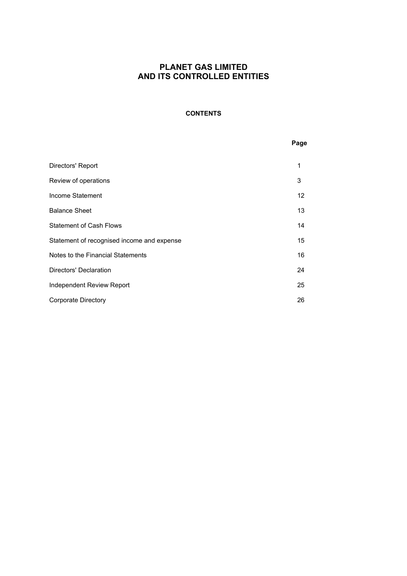### **CONTENTS**

**Page**

| Directors' Report                          | 1  |
|--------------------------------------------|----|
| Review of operations                       | 3  |
| Income Statement                           | 12 |
| <b>Balance Sheet</b>                       | 13 |
| <b>Statement of Cash Flows</b>             | 14 |
| Statement of recognised income and expense | 15 |
| Notes to the Financial Statements          | 16 |
| Directors' Declaration                     | 24 |
| Independent Review Report                  | 25 |
| <b>Corporate Directory</b>                 | 26 |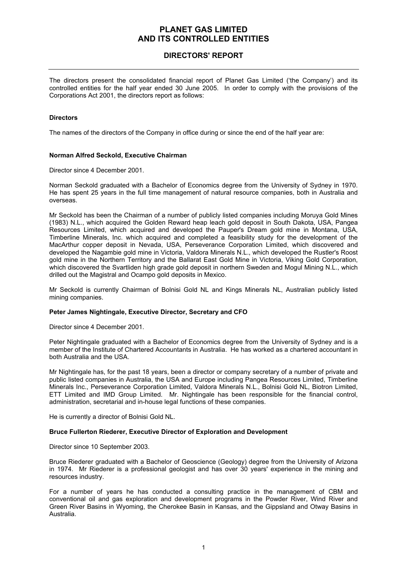### **DIRECTORS' REPORT**

The directors present the consolidated financial report of Planet Gas Limited ('the Company') and its controlled entities for the half year ended 30 June 2005. In order to comply with the provisions of the Corporations Act 2001, the directors report as follows:

#### **Directors**

The names of the directors of the Company in office during or since the end of the half year are:

#### **Norman Alfred Seckold, Executive Chairman**

Director since 4 December 2001.

Norman Seckold graduated with a Bachelor of Economics degree from the University of Sydney in 1970. He has spent 25 years in the full time management of natural resource companies, both in Australia and overseas.

Mr Seckold has been the Chairman of a number of publicly listed companies including Moruya Gold Mines (1983) N.L., which acquired the Golden Reward heap leach gold deposit in South Dakota, USA, Pangea Resources Limited, which acquired and developed the Pauper's Dream gold mine in Montana, USA, Timberline Minerals, Inc. which acquired and completed a feasibility study for the development of the MacArthur copper deposit in Nevada, USA, Perseverance Corporation Limited, which discovered and developed the Nagambie gold mine in Victoria, Valdora Minerals N.L., which developed the Rustler's Roost gold mine in the Northern Territory and the Ballarat East Gold Mine in Victoria, Viking Gold Corporation, which discovered the Svartliden high grade gold deposit in northern Sweden and Mogul Mining N.L., which drilled out the Magistral and Ocampo gold deposits in Mexico.

Mr Seckold is currently Chairman of Bolnisi Gold NL and Kings Minerals NL, Australian publicly listed mining companies.

#### **Peter James Nightingale, Executive Director, Secretary and CFO**

Director since 4 December 2001.

Peter Nightingale graduated with a Bachelor of Economics degree from the University of Sydney and is a member of the Institute of Chartered Accountants in Australia. He has worked as a chartered accountant in both Australia and the USA.

Mr Nightingale has, for the past 18 years, been a director or company secretary of a number of private and public listed companies in Australia, the USA and Europe including Pangea Resources Limited, Timberline Minerals Inc., Perseverance Corporation Limited, Valdora Minerals N.L., Bolnisi Gold NL, Biotron Limited, ETT Limited and IMD Group Limited. Mr. Nightingale has been responsible for the financial control, administration, secretarial and in-house legal functions of these companies.

He is currently a director of Bolnisi Gold NL.

#### **Bruce Fullerton Riederer, Executive Director of Exploration and Development**

Director since 10 September 2003.

Bruce Riederer graduated with a Bachelor of Geoscience (Geology) degree from the University of Arizona in 1974. Mr Riederer is a professional geologist and has over 30 years' experience in the mining and resources industry.

For a number of years he has conducted a consulting practice in the management of CBM and conventional oil and gas exploration and development programs in the Powder River, Wind River and Green River Basins in Wyoming, the Cherokee Basin in Kansas, and the Gippsland and Otway Basins in Australia.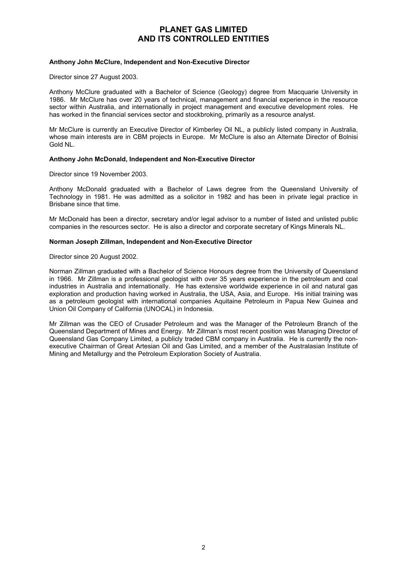#### **Anthony John McClure, Independent and Non-Executive Director**

Director since 27 August 2003.

Anthony McClure graduated with a Bachelor of Science (Geology) degree from Macquarie University in 1986. Mr McClure has over 20 years of technical, management and financial experience in the resource sector within Australia, and internationally in project management and executive development roles. He has worked in the financial services sector and stockbroking, primarily as a resource analyst.

Mr McClure is currently an Executive Director of Kimberley Oil NL, a publicly listed company in Australia, whose main interests are in CBM projects in Europe. Mr McClure is also an Alternate Director of Bolnisi Gold NL.

#### **Anthony John McDonald, Independent and Non-Executive Director**

Director since 19 November 2003.

Anthony McDonald graduated with a Bachelor of Laws degree from the Queensland University of Technology in 1981. He was admitted as a solicitor in 1982 and has been in private legal practice in Brisbane since that time.

Mr McDonald has been a director, secretary and/or legal advisor to a number of listed and unlisted public companies in the resources sector. He is also a director and corporate secretary of Kings Minerals NL.

#### **Norman Joseph Zillman, Independent and Non-Executive Director**

Director since 20 August 2002.

Norman Zillman graduated with a Bachelor of Science Honours degree from the University of Queensland in 1966. Mr Zillman is a professional geologist with over 35 years experience in the petroleum and coal industries in Australia and internationally. He has extensive worldwide experience in oil and natural gas exploration and production having worked in Australia, the USA, Asia, and Europe. His initial training was as a petroleum geologist with international companies Aquitaine Petroleum in Papua New Guinea and Union Oil Company of California (UNOCAL) in Indonesia.

Mr Zillman was the CEO of Crusader Petroleum and was the Manager of the Petroleum Branch of the Queensland Department of Mines and Energy. Mr Zillman's most recent position was Managing Director of Queensland Gas Company Limited, a publicly traded CBM company in Australia. He is currently the nonexecutive Chairman of Great Artesian Oil and Gas Limited, and a member of the Australasian Institute of Mining and Metallurgy and the Petroleum Exploration Society of Australia.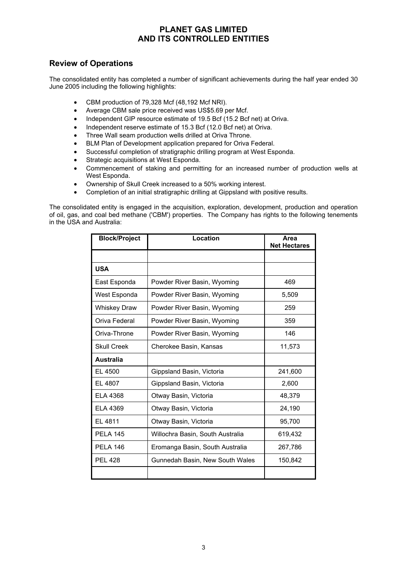### **Review of Operations**

The consolidated entity has completed a number of significant achievements during the half year ended 30 June 2005 including the following highlights:

- CBM production of 79,328 Mcf (48,192 Mcf NRI).
- Average CBM sale price received was US\$5.69 per Mcf.
- Independent GIP resource estimate of 19.5 Bcf (15.2 Bcf net) at Oriva.
- Independent reserve estimate of 15.3 Bcf (12.0 Bcf net) at Oriva.
- Three Wall seam production wells drilled at Oriva Throne.
- BLM Plan of Development application prepared for Oriva Federal.
- Successful completion of stratigraphic drilling program at West Esponda.
- Strategic acquisitions at West Esponda.
- Commencement of staking and permitting for an increased number of production wells at West Esponda.
- Ownership of Skull Creek increased to a 50% working interest.
- Completion of an initial stratigraphic drilling at Gippsland with positive results.

The consolidated entity is engaged in the acquisition, exploration, development, production and operation of oil, gas, and coal bed methane ('CBM') properties. The Company has rights to the following tenements in the USA and Australia:

| <b>Block/Project</b> | Location                         | Area<br><b>Net Hectares</b> |
|----------------------|----------------------------------|-----------------------------|
|                      |                                  |                             |
| <b>USA</b>           |                                  |                             |
| East Esponda         | Powder River Basin, Wyoming      | 469                         |
| West Esponda         | Powder River Basin, Wyoming      | 5,509                       |
| Whiskey Draw         | Powder River Basin, Wyoming      | 259                         |
| Oriva Federal        | Powder River Basin, Wyoming      | 359                         |
| Oriva-Throne         | Powder River Basin, Wyoming      | 146                         |
| <b>Skull Creek</b>   | Cherokee Basin, Kansas           | 11,573                      |
| Australia            |                                  |                             |
| EL 4500              | Gippsland Basin, Victoria        | 241,600                     |
| EL 4807              | Gippsland Basin, Victoria        | 2,600                       |
| ELA 4368             | Otway Basin, Victoria            | 48,379                      |
| <b>ELA 4369</b>      | Otway Basin, Victoria            | 24,190                      |
| EL 4811              | Otway Basin, Victoria            | 95,700                      |
| <b>PELA 145</b>      | Willochra Basin, South Australia | 619,432                     |
| <b>PELA 146</b>      | Eromanga Basin, South Australia  | 267,786                     |
| <b>PEL 428</b>       | Gunnedah Basin, New South Wales  | 150,842                     |
|                      |                                  |                             |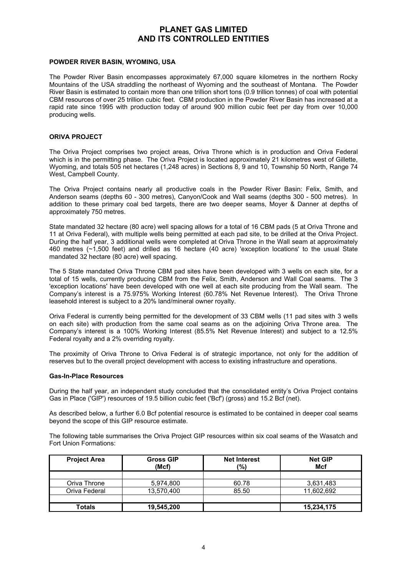#### **POWDER RIVER BASIN, WYOMING, USA**

The Powder River Basin encompasses approximately 67,000 square kilometres in the northern Rocky Mountains of the USA straddling the northeast of Wyoming and the southeast of Montana. The Powder River Basin is estimated to contain more than one trillion short tons (0.9 trillion tonnes) of coal with potential CBM resources of over 25 trillion cubic feet. CBM production in the Powder River Basin has increased at a rapid rate since 1995 with production today of around 900 million cubic feet per day from over 10,000 producing wells.

#### **ORIVA PROJECT**

The Oriva Project comprises two project areas, Oriva Throne which is in production and Oriva Federal which is in the permitting phase. The Oriva Project is located approximately 21 kilometres west of Gillette, Wyoming, and totals 505 net hectares (1,248 acres) in Sections 8, 9 and 10, Township 50 North, Range 74 West, Campbell County.

The Oriva Project contains nearly all productive coals in the Powder River Basin: Felix, Smith, and Anderson seams (depths 60 - 300 metres), Canyon/Cook and Wall seams (depths 300 - 500 metres). In addition to these primary coal bed targets, there are two deeper seams, Moyer & Danner at depths of approximately 750 metres.

State mandated 32 hectare (80 acre) well spacing allows for a total of 16 CBM pads (5 at Oriva Throne and 11 at Oriva Federal), with multiple wells being permitted at each pad site, to be drilled at the Oriva Project. During the half year, 3 additional wells were completed at Oriva Throne in the Wall seam at approximately 460 metres (~1,500 feet) and drilled as 16 hectare (40 acre) 'exception locations' to the usual State mandated 32 hectare (80 acre) well spacing.

The 5 State mandated Oriva Throne CBM pad sites have been developed with 3 wells on each site, for a total of 15 wells, currently producing CBM from the Felix, Smith, Anderson and Wall Coal seams. The 3 'exception locations' have been developed with one well at each site producing from the Wall seam. The Company's interest is a 75.975% Working Interest (60.78% Net Revenue Interest). The Oriva Throne leasehold interest is subject to a 20% land/mineral owner royalty.

Oriva Federal is currently being permitted for the development of 33 CBM wells (11 pad sites with 3 wells on each site) with production from the same coal seams as on the adjoining Oriva Throne area. The Company's interest is a 100% Working Interest (85.5% Net Revenue Interest) and subject to a 12.5% Federal royalty and a 2% overriding royalty.

The proximity of Oriva Throne to Oriva Federal is of strategic importance, not only for the addition of reserves but to the overall project development with access to existing infrastructure and operations.

#### **Gas-In-Place Resources**

During the half year, an independent study concluded that the consolidated entity's Oriva Project contains Gas in Place ('GIP') resources of 19.5 billion cubic feet ('Bcf') (gross) and 15.2 Bcf (net).

As described below, a further 6.0 Bcf potential resource is estimated to be contained in deeper coal seams beyond the scope of this GIP resource estimate.

The following table summarises the Oriva Project GIP resources within six coal seams of the Wasatch and Fort Union Formations:

| <b>Project Area</b> | <b>Gross GIP</b><br>(Mcf) | <b>Net Interest</b><br>(%) | <b>Net GIP</b><br><b>Mcf</b> |
|---------------------|---------------------------|----------------------------|------------------------------|
|                     |                           |                            |                              |
| Oriva Throne        | 5,974,800                 | 60.78                      | 3,631,483                    |
| Oriva Federal       | 13,570,400                | 85.50                      | 11,602,692                   |
|                     |                           |                            |                              |
| <b>Totals</b>       | 19,545,200                |                            | 15,234,175                   |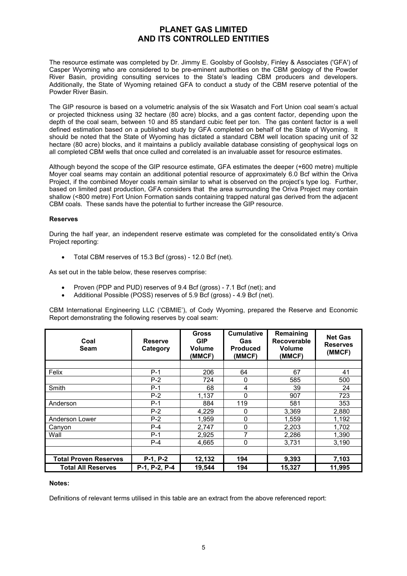The resource estimate was completed by Dr. Jimmy E. Goolsby of Goolsby, Finley & Associates ('GFA') of Casper Wyoming who are considered to be pre-eminent authorities on the CBM geology of the Powder River Basin, providing consulting services to the State's leading CBM producers and developers. Additionally, the State of Wyoming retained GFA to conduct a study of the CBM reserve potential of the Powder River Basin.

The GIP resource is based on a volumetric analysis of the six Wasatch and Fort Union coal seam's actual or projected thickness using 32 hectare (80 acre) blocks, and a gas content factor, depending upon the depth of the coal seam, between 10 and 85 standard cubic feet per ton. The gas content factor is a well defined estimation based on a published study by GFA completed on behalf of the State of Wyoming. It should be noted that the State of Wyoming has dictated a standard CBM well location spacing unit of 32 hectare (80 acre) blocks, and it maintains a publicly available database consisting of geophysical logs on all completed CBM wells that once culled and correlated is an invaluable asset for resource estimates.

Although beyond the scope of the GIP resource estimate, GFA estimates the deeper (+600 metre) multiple Moyer coal seams may contain an additional potential resource of approximately 6.0 Bcf within the Oriva Project, if the combined Moyer coals remain similar to what is observed on the project's type log. Further, based on limited past production, GFA considers that the area surrounding the Oriva Project may contain shallow (<800 metre) Fort Union Formation sands containing trapped natural gas derived from the adjacent CBM coals. These sands have the potential to further increase the GIP resource.

#### **Reserves**

During the half year, an independent reserve estimate was completed for the consolidated entity's Oriva Project reporting:

• Total CBM reserves of 15.3 Bcf (gross) - 12.0 Bcf (net).

As set out in the table below, these reserves comprise:

- Proven (PDP and PUD) reserves of 9.4 Bcf (gross) 7.1 Bcf (net); and
- Additional Possible (POSS) reserves of 5.9 Bcf (gross) 4.9 Bcf (net).

CBM International Engineering LLC ('CBMIE'), of Cody Wyoming, prepared the Reserve and Economic Report demonstrating the following reserves by coal seam:

| Coal<br>Seam                 | <b>Reserve</b><br>Category | Gross<br><b>GIP</b><br><b>Volume</b><br>(MMCF) | <b>Cumulative</b><br>Gas<br><b>Produced</b><br>(MMCF) | Remaining<br><b>Recoverable</b><br><b>Volume</b><br>(MMCF) | <b>Net Gas</b><br><b>Reserves</b><br>(MMCF) |
|------------------------------|----------------------------|------------------------------------------------|-------------------------------------------------------|------------------------------------------------------------|---------------------------------------------|
|                              |                            |                                                |                                                       |                                                            |                                             |
| Felix                        | $P-1$                      | 206                                            | 64                                                    | 67                                                         | 41                                          |
|                              | $P-2$                      | 724                                            | 0                                                     | 585                                                        | 500                                         |
| Smith                        | $P-1$                      | 68                                             | 4                                                     | 39                                                         | 24                                          |
|                              | $P-2$                      | 1.137                                          | 0                                                     | 907                                                        | 723                                         |
| Anderson                     | $P-1$                      | 884                                            | 119                                                   | 581                                                        | 353                                         |
|                              | $P-2$                      | 4,229                                          | 0                                                     | 3,369                                                      | 2,880                                       |
| Anderson Lower               | $P-2$                      | 1,959                                          | 0                                                     | 1,559                                                      | 1,192                                       |
| Canyon                       | $P-4$                      | 2,747                                          | 0                                                     | 2,203                                                      | 1,702                                       |
| Wall                         | $P-1$                      | 2,925                                          |                                                       | 2,286                                                      | 1,390                                       |
|                              | $P-4$                      | 4,665                                          | 0                                                     | 3,731                                                      | 3,190                                       |
|                              |                            |                                                |                                                       |                                                            |                                             |
| <b>Total Proven Reserves</b> | $P-1, P-2$                 | 12,132                                         | 194                                                   | 9,393                                                      | 7,103                                       |
| <b>Total All Reserves</b>    | P-1, P-2, P-4              | 19,544                                         | 194                                                   | 15,327                                                     | 11,995                                      |

#### **Notes:**

Definitions of relevant terms utilised in this table are an extract from the above referenced report: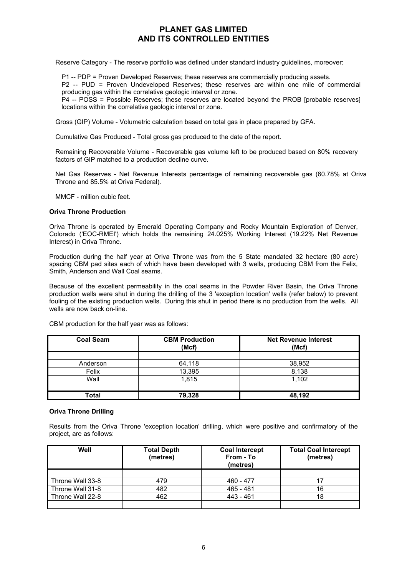Reserve Category - The reserve portfolio was defined under standard industry guidelines, moreover:

P1 -- PDP = Proven Developed Reserves; these reserves are commercially producing assets.

P2 -- PUD = Proven Undeveloped Reserves; these reserves are within one mile of commercial producing gas within the correlative geologic interval or zone.

P4 -- POSS = Possible Reserves; these reserves are located beyond the PROB [probable reserves] locations within the correlative geologic interval or zone.

Gross (GIP) Volume - Volumetric calculation based on total gas in place prepared by GFA.

Cumulative Gas Produced - Total gross gas produced to the date of the report.

Remaining Recoverable Volume - Recoverable gas volume left to be produced based on 80% recovery factors of GIP matched to a production decline curve.

Net Gas Reserves - Net Revenue Interests percentage of remaining recoverable gas (60.78% at Oriva Throne and 85.5% at Oriva Federal).

MMCF - million cubic feet.

#### **Oriva Throne Production**

Oriva Throne is operated by Emerald Operating Company and Rocky Mountain Exploration of Denver, Colorado ('EOC-RMEI') which holds the remaining 24.025% Working Interest (19.22% Net Revenue Interest) in Oriva Throne.

Production during the half year at Oriva Throne was from the 5 State mandated 32 hectare (80 acre) spacing CBM pad sites each of which have been developed with 3 wells, producing CBM from the Felix, Smith, Anderson and Wall Coal seams.

Because of the excellent permeability in the coal seams in the Powder River Basin, the Oriva Throne production wells were shut in during the drilling of the 3 'exception location' wells (refer below) to prevent fouling of the existing production wells. During this shut in period there is no production from the wells. All wells are now back on-line.

| <b>Coal Seam</b> | <b>CBM Production</b><br>(Mcf) | <b>Net Revenue Interest</b><br>(Mcf) |
|------------------|--------------------------------|--------------------------------------|
|                  |                                |                                      |
| Anderson         | 64,118                         | 38,952                               |
| Felix            | 13,395                         | 8,138                                |
| Wall             | 1,815                          | 1.102                                |
|                  |                                |                                      |
| Total            | 79,328                         | 48,192                               |

CBM production for the half year was as follows:

#### **Oriva Throne Drilling**

Results from the Oriva Throne 'exception location' drilling, which were positive and confirmatory of the project, are as follows:

| Well             | <b>Total Depth</b><br>(metres) | <b>Coal Intercept</b><br>From - To<br>(metres) | <b>Total Coal Intercept</b><br>(metres) |
|------------------|--------------------------------|------------------------------------------------|-----------------------------------------|
|                  |                                |                                                |                                         |
| Throne Wall 33-8 | 479                            | 460 - 477                                      |                                         |
| Throne Wall 31-8 | 482                            | 465 - 481                                      | 16                                      |
| Throne Wall 22-8 | 462                            | $443 - 461$                                    | 18                                      |
|                  |                                |                                                |                                         |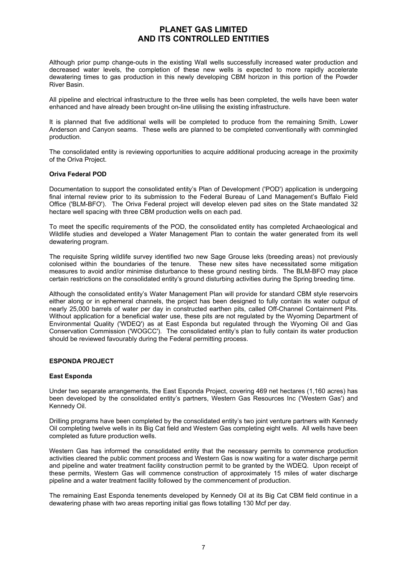Although prior pump change-outs in the existing Wall wells successfully increased water production and decreased water levels, the completion of these new wells is expected to more rapidly accelerate dewatering times to gas production in this newly developing CBM horizon in this portion of the Powder River Basin.

All pipeline and electrical infrastructure to the three wells has been completed, the wells have been water enhanced and have already been brought on-line utilising the existing infrastructure.

It is planned that five additional wells will be completed to produce from the remaining Smith, Lower Anderson and Canyon seams. These wells are planned to be completed conventionally with commingled production.

The consolidated entity is reviewing opportunities to acquire additional producing acreage in the proximity of the Oriva Project.

#### **Oriva Federal POD**

Documentation to support the consolidated entity's Plan of Development ('POD') application is undergoing final internal review prior to its submission to the Federal Bureau of Land Management's Buffalo Field Office ('BLM-BFO'). The Oriva Federal project will develop eleven pad sites on the State mandated 32 hectare well spacing with three CBM production wells on each pad.

To meet the specific requirements of the POD, the consolidated entity has completed Archaeological and Wildlife studies and developed a Water Management Plan to contain the water generated from its well dewatering program.

The requisite Spring wildlife survey identified two new Sage Grouse leks (breeding areas) not previously colonised within the boundaries of the tenure. These new sites have necessitated some mitigation measures to avoid and/or minimise disturbance to these ground nesting birds. The BLM-BFO may place certain restrictions on the consolidated entity's ground disturbing activities during the Spring breeding time.

Although the consolidated entity's Water Management Plan will provide for standard CBM style reservoirs either along or in ephemeral channels, the project has been designed to fully contain its water output of nearly 25,000 barrels of water per day in constructed earthen pits, called Off-Channel Containment Pits. Without application for a beneficial water use, these pits are not regulated by the Wyoming Department of Environmental Quality ('WDEQ') as at East Esponda but regulated through the Wyoming Oil and Gas Conservation Commission ('WOGCC'). The consolidated entity's plan to fully contain its water production should be reviewed favourably during the Federal permitting process.

#### **ESPONDA PROJECT**

#### **East Esponda**

Under two separate arrangements, the East Esponda Project, covering 469 net hectares (1,160 acres) has been developed by the consolidated entity's partners, Western Gas Resources Inc ('Western Gas') and Kennedy Oil.

Drilling programs have been completed by the consolidated entity's two joint venture partners with Kennedy Oil completing twelve wells in its Big Cat field and Western Gas completing eight wells. All wells have been completed as future production wells.

Western Gas has informed the consolidated entity that the necessary permits to commence production activities cleared the public comment process and Western Gas is now waiting for a water discharge permit and pipeline and water treatment facility construction permit to be granted by the WDEQ. Upon receipt of these permits, Western Gas will commence construction of approximately 15 miles of water discharge pipeline and a water treatment facility followed by the commencement of production.

The remaining East Esponda tenements developed by Kennedy Oil at its Big Cat CBM field continue in a dewatering phase with two areas reporting initial gas flows totalling 130 Mcf per day.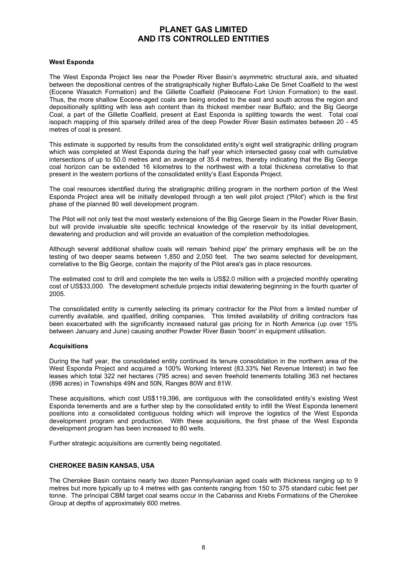#### **West Esponda**

The West Esponda Project lies near the Powder River Basin's asymmetric structural axis, and situated between the depositional centres of the stratigraphically higher Buffalo-Lake De Smet Coalfield to the west (Eocene Wasatch Formation) and the Gillette Coalfield (Paleocene Fort Union Formation) to the east. Thus, the more shallow Eocene-aged coals are being eroded to the east and south across the region and depositionally splitting with less ash content than its thickest member near Buffalo; and the Big George Coal, a part of the Gillette Coalfield, present at East Esponda is splitting towards the west. Total coal isopach mapping of this sparsely drilled area of the deep Powder River Basin estimates between 20 - 45 metres of coal is present.

This estimate is supported by results from the consolidated entity's eight well stratigraphic drilling program which was completed at West Esponda during the half year which intersected gassy coal with cumulative intersections of up to 50.0 metres and an average of 35.4 metres, thereby indicating that the Big George coal horizon can be extended 16 kilometres to the northwest with a total thickness correlative to that present in the western portions of the consolidated entity's East Esponda Project.

The coal resources identified during the stratigraphic drilling program in the northern portion of the West Esponda Project area will be initially developed through a ten well pilot project ('Pilot') which is the first phase of the planned 80 well development program.

The Pilot will not only test the most westerly extensions of the Big George Seam in the Powder River Basin, but will provide invaluable site specific technical knowledge of the reservoir by its initial development, dewatering and production and will provide an evaluation of the completion methodologies.

Although several additional shallow coals will remain 'behind pipe' the primary emphasis will be on the testing of two deeper seams between 1,850 and 2,050 feet. The two seams selected for development, correlative to the Big George, contain the majority of the Pilot area's gas in place resources.

The estimated cost to drill and complete the ten wells is US\$2.0 million with a projected monthly operating cost of US\$33,000. The development schedule projects initial dewatering beginning in the fourth quarter of 2005.

The consolidated entity is currently selecting its primary contractor for the Pilot from a limited number of currently available, and qualified, drilling companies. This limited availability of drilling contractors has been exacerbated with the significantly increased natural gas pricing for in North America (up over 15% between January and June) causing another Powder River Basin 'boom' in equipment utilisation.

#### **Acquisitions**

During the half year, the consolidated entity continued its tenure consolidation in the northern area of the West Esponda Project and acquired a 100% Working Interest (83.33% Net Revenue Interest) in two fee leases which total 322 net hectares (795 acres) and seven freehold tenements totalling 363 net hectares (898 acres) in Townships 49N and 50N, Ranges 80W and 81W.

These acquisitions, which cost US\$119,396, are contiguous with the consolidated entity's existing West Esponda tenements and are a further step by the consolidated entity to infill the West Esponda tenement positions into a consolidated contiguous holding which will improve the logistics of the West Esponda development program and production. With these acquisitions, the first phase of the West Esponda development program has been increased to 80 wells.

Further strategic acquisitions are currently being negotiated.

#### **CHEROKEE BASIN KANSAS, USA**

The Cherokee Basin contains nearly two dozen Pennsylvanian aged coals with thickness ranging up to 9 metres but more typically up to 4 metres with gas contents ranging from 150 to 375 standard cubic feet per tonne. The principal CBM target coal seams occur in the Cabaniss and Krebs Formations of the Cherokee Group at depths of approximately 600 metres.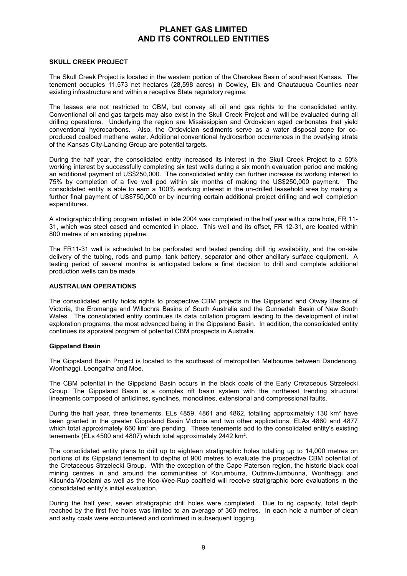#### **SKULL CREEK PROJECT**

The Skull Creek Project is located in the western portion of the Cherokee Basin of southeast Kansas. The tenement occupies 11,573 net hectares (28,598 acres) in Cowley, Elk and Chautauqua Counties near existing infrastructure and within a receptive State regulatory regime.

The leases are not restricted to CBM, but convey all oil and gas rights to the consolidated entity. Conventional oil and gas targets may also exist in the Skull Creek Project and will be evaluated during all drilling operations. Underlying the region are Mississippian and Ordovician aged carbonates that yield conventional hydrocarbons. Also, the Ordovician sediments serve as a water disposal zone for coproduced coalbed methane water. Additional conventional hydrocarbon occurrences in the overlying strata of the Kansas City-Lancing Group are potential targets.

During the half year, the consolidated entity increased its interest in the Skull Creek Project to a 50% working interest by successfully completing six test wells during a six month evaluation period and making an additional payment of US\$250,000. The consolidated entity can further increase its working interest to 75% by completion of a five well pod within six months of making the US\$250,000 payment. The consolidated entity is able to earn a 100% working interest in the un-drilled leasehold area by making a further final payment of US\$750,000 or by incurring certain additional project drilling and well completion expenditures.

A stratigraphic drilling program initiated in late 2004 was completed in the half year with a core hole, FR 11- 31, which was steel cased and cemented in place. This well and its offset, FR 12-31, are located within 800 metres of an existing pipeline.

The FR11-31 well is scheduled to be perforated and tested pending drill rig availability, and the on-site delivery of the tubing, rods and pump, tank battery, separator and other ancillary surface equipment. A testing period of several months is anticipated before a final decision to drill and complete additional production wells can be made.

#### **AUSTRALIAN OPERATIONS**

The consolidated entity holds rights to prospective CBM projects in the Gippsland and Otway Basins of Victoria, the Eromanga and Willochra Basins of South Australia and the Gunnedah Basin of New South Wales. The consolidated entity continues its data collation program leading to the development of initial exploration programs, the most advanced being in the Gippsland Basin. In addition, the consolidated entity continues its appraisal program of potential CBM prospects in Australia.

#### **Gippsland Basin**

The Gippsland Basin Project is located to the southeast of metropolitan Melbourne between Dandenong, Wonthaggi, Leongatha and Moe.

The CBM potential in the Gippsland Basin occurs in the black coals of the Early Cretaceous Strzelecki Group. The Gippsland Basin is a complex rift basin system with the northeast trending structural lineaments composed of anticlines, synclines, monoclines, extensional and compressional faults.

During the half year, three tenements, ELs 4859, 4861 and 4862, totalling approximately 130 km² have been granted in the greater Gippsland Basin Victoria and two other applications, ELAs 4860 and 4877 which total approximately 660 km<sup>2</sup> are pending. These tenements add to the consolidated entity's existing tenements (ELs 4500 and 4807) which total approximately 2442 km².

The consolidated entity plans to drill up to eighteen stratigraphic holes totalling up to 14,000 metres on portions of its Gippsland tenement to depths of 900 metres to evaluate the prospective CBM potential of the Cretaceous Strzelecki Group. With the exception of the Cape Paterson region, the historic black coal mining centres in and around the communities of Korumburra, Outtrim-Jumbunna, Wonthaggi and Kilcunda-Woolami as well as the Koo-Wee-Rup coalfield will receive stratigraphic bore evaluations in the consolidated entity's initial evaluation.

During the half year, seven stratigraphic drill holes were completed. Due to rig capacity, total depth reached by the first five holes was limited to an average of 360 metres. In each hole a number of clean and ashy coals were encountered and confirmed in subsequent logging.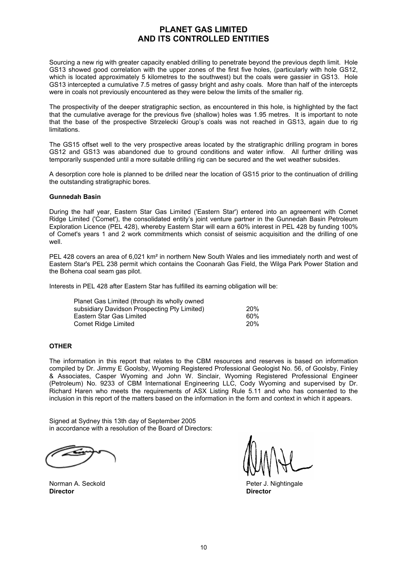Sourcing a new rig with greater capacity enabled drilling to penetrate beyond the previous depth limit. Hole GS13 showed good correlation with the upper zones of the first five holes, (particularly with hole GS12, which is located approximately 5 kilometres to the southwest) but the coals were gassier in GS13. Hole GS13 intercepted a cumulative 7.5 metres of gassy bright and ashy coals. More than half of the intercepts were in coals not previously encountered as they were below the limits of the smaller rig.

The prospectivity of the deeper stratigraphic section, as encountered in this hole, is highlighted by the fact that the cumulative average for the previous five (shallow) holes was 1.95 metres. It is important to note that the base of the prospective Strzelecki Group's coals was not reached in GS13, again due to rig limitations.

The GS15 offset well to the very prospective areas located by the stratigraphic drilling program in bores GS12 and GS13 was abandoned due to ground conditions and water inflow. All further drilling was temporarily suspended until a more suitable drilling rig can be secured and the wet weather subsides.

A desorption core hole is planned to be drilled near the location of GS15 prior to the continuation of drilling the outstanding stratigraphic bores.

#### **Gunnedah Basin**

During the half year, Eastern Star Gas Limited ('Eastern Star') entered into an agreement with Comet Ridge Limited ('Comet'), the consolidated entity's joint venture partner in the Gunnedah Basin Petroleum Exploration Licence (PEL 428), whereby Eastern Star will earn a 60% interest in PEL 428 by funding 100% of Comet's years 1 and 2 work commitments which consist of seismic acquisition and the drilling of one well.

PEL 428 covers an area of 6,021 km<sup>2</sup> in northern New South Wales and lies immediately north and west of Eastern Star's PEL 238 permit which contains the Coonarah Gas Field, the Wilga Park Power Station and the Bohena coal seam gas pilot.

Interests in PEL 428 after Eastern Star has fulfilled its earning obligation will be:

| Planet Gas Limited (through its wholly owned |            |
|----------------------------------------------|------------|
| subsidiary Davidson Prospecting Pty Limited) | <b>20%</b> |
| Eastern Star Gas Limited                     | 60%        |
| Comet Ridae Limited                          | <b>20%</b> |
|                                              |            |

#### **OTHER**

The information in this report that relates to the CBM resources and reserves is based on information compiled by Dr. Jimmy E Goolsby, Wyoming Registered Professional Geologist No. 56, of Goolsby, Finley & Associates, Casper Wyoming and John W. Sinclair, Wyoming Registered Professional Engineer (Petroleum) No. 9233 of CBM International Engineering LLC, Cody Wyoming and supervised by Dr. Richard Haren who meets the requirements of ASX Listing Rule 5.11 and who has consented to the inclusion in this report of the matters based on the information in the form and context in which it appears.

Signed at Sydney this 13th day of September 2005 in accordance with a resolution of the Board of Directors:

**Director Director** 

Norman A. Seckold **Peter J. Nightingale**<br> **Director Director**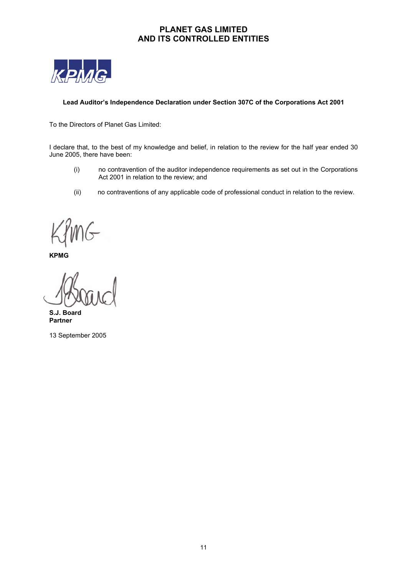

#### **Lead Auditor's Independence Declaration under Section 307C of the Corporations Act 2001**

To the Directors of Planet Gas Limited:

I declare that, to the best of my knowledge and belief, in relation to the review for the half year ended 30 June 2005, there have been:

- (i) no contravention of the auditor independence requirements as set out in the Corporations Act 2001 in relation to the review; and
- (ii) no contraventions of any applicable code of professional conduct in relation to the review.

MG<br>1

**KPMG** 

**S.J. Board Partner** 

13 September 2005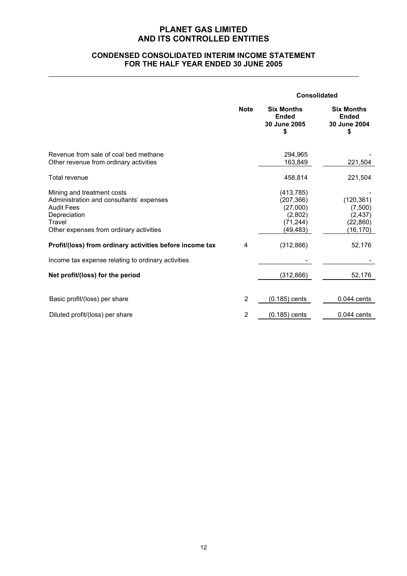### **CONDENSED CONSOLIDATED INTERIM INCOME STATEMENT FOR THE HALF YEAR ENDED 30 JUNE 2005**

|                                                                                                                                                                  |                | <b>Consolidated</b>                                                       |                                                             |  |
|------------------------------------------------------------------------------------------------------------------------------------------------------------------|----------------|---------------------------------------------------------------------------|-------------------------------------------------------------|--|
|                                                                                                                                                                  | <b>Note</b>    | <b>Six Months</b><br><b>Ended</b><br>30 June 2005<br>\$                   | <b>Six Months</b><br><b>Ended</b><br>30 June 2004<br>\$     |  |
| Revenue from sale of coal bed methane<br>Other revenue from ordinary activities                                                                                  |                | 294.965<br>163,849                                                        | 221,504                                                     |  |
| Total revenue                                                                                                                                                    |                | 458,814                                                                   | 221,504                                                     |  |
| Mining and treatment costs<br>Administration and consultants' expenses<br><b>Audit Fees</b><br>Depreciation<br>Travel<br>Other expenses from ordinary activities |                | (413, 785)<br>(207, 366)<br>(27,000)<br>(2,802)<br>(71, 244)<br>(49, 483) | (120, 361)<br>(7,500)<br>(2, 437)<br>(22, 860)<br>(16, 170) |  |
| Profit/(loss) from ordinary activities before income tax                                                                                                         | 4              | (312, 866)                                                                | 52,176                                                      |  |
| Income tax expense relating to ordinary activities                                                                                                               |                |                                                                           |                                                             |  |
| Net profit/(loss) for the period                                                                                                                                 |                | (312, 866)                                                                | 52,176                                                      |  |
| Basic profit/(loss) per share                                                                                                                                    | 2              | (0.185) cents                                                             | $0.044$ cents                                               |  |
| Diluted profit/(loss) per share                                                                                                                                  | $\overline{2}$ | (0.185) cents                                                             | $0.044$ cents                                               |  |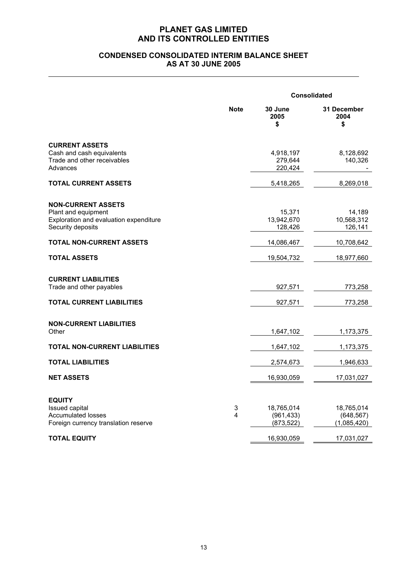### **CONDENSED CONSOLIDATED INTERIM BALANCE SHEET AS AT 30 JUNE 2005**

|                                                                                                                 |             | <b>Consolidated</b>                    |                                         |  |
|-----------------------------------------------------------------------------------------------------------------|-------------|----------------------------------------|-----------------------------------------|--|
|                                                                                                                 | <b>Note</b> | 30 June<br>2005<br>\$                  | 31 December<br>2004<br>\$               |  |
| <b>CURRENT ASSETS</b><br>Cash and cash equivalents<br>Trade and other receivables<br>Advances                   |             | 4,918,197<br>279,644<br>220,424        | 8,128,692<br>140,326                    |  |
| <b>TOTAL CURRENT ASSETS</b>                                                                                     |             | 5,418,265                              | 8,269,018                               |  |
| <b>NON-CURRENT ASSETS</b><br>Plant and equipment<br>Exploration and evaluation expenditure<br>Security deposits |             | 15,371<br>13,942,670<br>128,426        | 14,189<br>10,568,312<br>126,141         |  |
| <b>TOTAL NON-CURRENT ASSETS</b>                                                                                 |             | 14,086,467                             | 10,708,642                              |  |
| <b>TOTAL ASSETS</b>                                                                                             |             | 19,504,732                             | 18,977,660                              |  |
| <b>CURRENT LIABILITIES</b><br>Trade and other payables<br><b>TOTAL CURRENT LIABILITIES</b>                      |             | 927,571<br>927,571                     | 773,258<br>773,258                      |  |
| <b>NON-CURRENT LIABILITIES</b><br>Other                                                                         |             | 1,647,102                              | 1,173,375                               |  |
| TOTAL NON-CURRENT LIABILITIES                                                                                   |             | 1,647,102                              | 1,173,375                               |  |
| <b>TOTAL LIABILITIES</b>                                                                                        |             | 2,574,673                              | 1,946,633                               |  |
| <b>NET ASSETS</b>                                                                                               |             | 16,930,059                             | 17,031,027                              |  |
| <b>EQUITY</b><br>Issued capital<br><b>Accumulated losses</b><br>Foreign currency translation reserve            | 3<br>4      | 18,765,014<br>(961, 433)<br>(873, 522) | 18,765,014<br>(648, 567)<br>(1,085,420) |  |
| <b>TOTAL EQUITY</b>                                                                                             |             | 16,930,059                             | 17,031,027                              |  |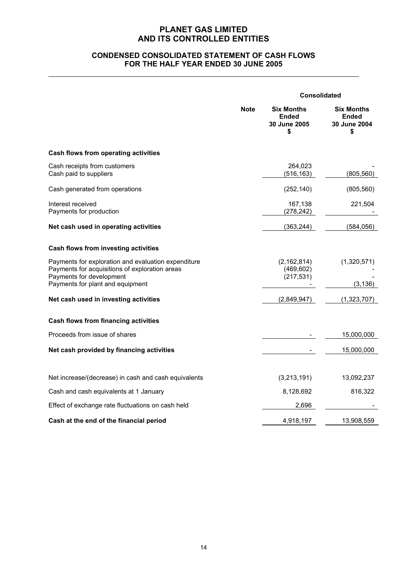### **CONDENSED CONSOLIDATED STATEMENT OF CASH FLOWS FOR THE HALF YEAR ENDED 30 JUNE 2005**

|                                                                                                                                                                       |             |                                                         | <b>Consolidated</b>                                     |  |  |
|-----------------------------------------------------------------------------------------------------------------------------------------------------------------------|-------------|---------------------------------------------------------|---------------------------------------------------------|--|--|
|                                                                                                                                                                       | <b>Note</b> | <b>Six Months</b><br><b>Ended</b><br>30 June 2005<br>\$ | <b>Six Months</b><br><b>Ended</b><br>30 June 2004<br>\$ |  |  |
| Cash flows from operating activities                                                                                                                                  |             |                                                         |                                                         |  |  |
| Cash receipts from customers<br>Cash paid to suppliers                                                                                                                |             | 264,023<br>(516, 163)                                   | (805, 560)                                              |  |  |
| Cash generated from operations                                                                                                                                        |             | (252, 140)                                              | (805, 560)                                              |  |  |
| Interest received<br>Payments for production                                                                                                                          |             | 167,138<br>(278, 242)                                   | 221,504                                                 |  |  |
| Net cash used in operating activities                                                                                                                                 |             | (363, 244)                                              | (584,056)                                               |  |  |
| Cash flows from investing activities                                                                                                                                  |             |                                                         |                                                         |  |  |
| Payments for exploration and evaluation expenditure<br>Payments for acquisitions of exploration areas<br>Payments for development<br>Payments for plant and equipment |             | (2, 162, 814)<br>(469, 602)<br>(217, 531)               | (1,320,571)<br>(3, 136)                                 |  |  |
| Net cash used in investing activities                                                                                                                                 |             | (2,849,947)                                             | (1,323,707)                                             |  |  |
| <b>Cash flows from financing activities</b>                                                                                                                           |             |                                                         |                                                         |  |  |
| Proceeds from issue of shares                                                                                                                                         |             |                                                         | 15,000,000                                              |  |  |
| Net cash provided by financing activities                                                                                                                             |             |                                                         | 15,000,000                                              |  |  |
| Net increase/(decrease) in cash and cash equivalents                                                                                                                  |             | (3,213,191)                                             | 13,092,237                                              |  |  |
| Cash and cash equivalents at 1 January                                                                                                                                |             | 8,128,692                                               | 816,322                                                 |  |  |
| Effect of exchange rate fluctuations on cash held                                                                                                                     |             | 2,696                                                   |                                                         |  |  |
| Cash at the end of the financial period                                                                                                                               |             | 4,918,197                                               | 13,908,559                                              |  |  |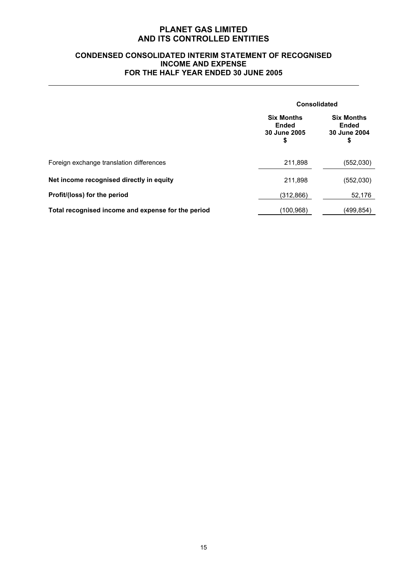### **CONDENSED CONSOLIDATED INTERIM STATEMENT OF RECOGNISED INCOME AND EXPENSE FOR THE HALF YEAR ENDED 30 JUNE 2005**

|                                                    |                                                         | <b>Consolidated</b>                                     |  |  |
|----------------------------------------------------|---------------------------------------------------------|---------------------------------------------------------|--|--|
|                                                    | <b>Six Months</b><br><b>Ended</b><br>30 June 2005<br>\$ | <b>Six Months</b><br><b>Ended</b><br>30 June 2004<br>\$ |  |  |
| Foreign exchange translation differences           | 211,898                                                 | (552,030)                                               |  |  |
| Net income recognised directly in equity           | 211,898                                                 | (552,030)                                               |  |  |
| Profit/(loss) for the period                       | (312,866)                                               | 52,176                                                  |  |  |
| Total recognised income and expense for the period | (100.968)                                               | (499.854)                                               |  |  |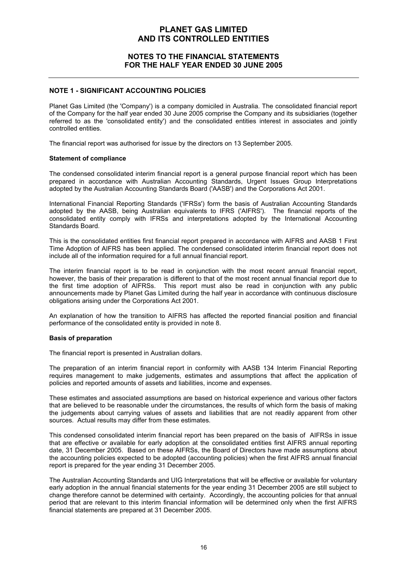### **NOTES TO THE FINANCIAL STATEMENTS FOR THE HALF YEAR ENDED 30 JUNE 2005**

#### **NOTE 1 - SIGNIFICANT ACCOUNTING POLICIES**

Planet Gas Limited (the 'Company') is a company domiciled in Australia. The consolidated financial report of the Company for the half year ended 30 June 2005 comprise the Company and its subsidiaries (together referred to as the 'consolidated entity') and the consolidated entities interest in associates and jointly controlled entities.

The financial report was authorised for issue by the directors on 13 September 2005.

#### **Statement of compliance**

The condensed consolidated interim financial report is a general purpose financial report which has been prepared in accordance with Australian Accounting Standards, Urgent Issues Group Interpretations adopted by the Australian Accounting Standards Board ('AASB') and the Corporations Act 2001.

International Financial Reporting Standards ('IFRSs') form the basis of Australian Accounting Standards adopted by the AASB, being Australian equivalents to IFRS ('AIFRS'). The financial reports of the consolidated entity comply with IFRSs and interpretations adopted by the International Accounting Standards Board.

This is the consolidated entities first financial report prepared in accordance with AIFRS and AASB 1 First Time Adoption of AIFRS has been applied. The condensed consolidated interim financial report does not include all of the information required for a full annual financial report.

The interim financial report is to be read in conjunction with the most recent annual financial report, however, the basis of their preparation is different to that of the most recent annual financial report due to the first time adoption of AIFRSs. This report must also be read in conjunction with any public announcements made by Planet Gas Limited during the half year in accordance with continuous disclosure obligations arising under the Corporations Act 2001.

An explanation of how the transition to AIFRS has affected the reported financial position and financial performance of the consolidated entity is provided in note 8.

#### **Basis of preparation**

The financial report is presented in Australian dollars.

The preparation of an interim financial report in conformity with AASB 134 Interim Financial Reporting requires management to make judgements, estimates and assumptions that affect the application of policies and reported amounts of assets and liabilities, income and expenses.

These estimates and associated assumptions are based on historical experience and various other factors that are believed to be reasonable under the circumstances, the results of which form the basis of making the judgements about carrying values of assets and liabilities that are not readily apparent from other sources. Actual results may differ from these estimates.

This condensed consolidated interim financial report has been prepared on the basis of AIFRSs in issue that are effective or available for early adoption at the consolidated entities first AIFRS annual reporting date, 31 December 2005. Based on these AIFRSs, the Board of Directors have made assumptions about the accounting policies expected to be adopted (accounting policies) when the first AIFRS annual financial report is prepared for the year ending 31 December 2005.

The Australian Accounting Standards and UIG Interpretations that will be effective or available for voluntary early adoption in the annual financial statements for the year ending 31 December 2005 are still subject to change therefore cannot be determined with certainty. Accordingly, the accounting policies for that annual period that are relevant to this interim financial information will be determined only when the first AIFRS financial statements are prepared at 31 December 2005.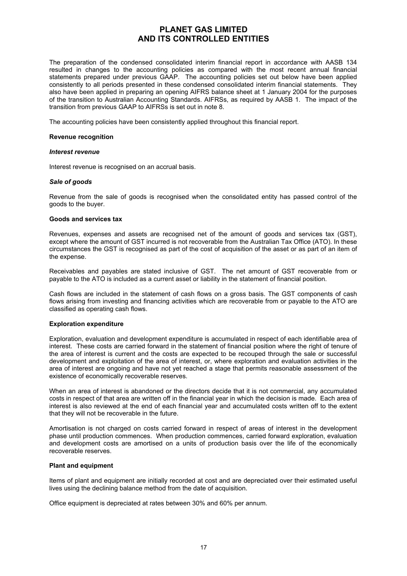The preparation of the condensed consolidated interim financial report in accordance with AASB 134 resulted in changes to the accounting policies as compared with the most recent annual financial statements prepared under previous GAAP. The accounting policies set out below have been applied consistently to all periods presented in these condensed consolidated interim financial statements. They also have been applied in preparing an opening AIFRS balance sheet at 1 January 2004 for the purposes of the transition to Australian Accounting Standards. AIFRSs, as required by AASB 1. The impact of the transition from previous GAAP to AIFRSs is set out in note 8.

The accounting policies have been consistently applied throughout this financial report.

#### **Revenue recognition**

#### *Interest revenue*

Interest revenue is recognised on an accrual basis.

#### *Sale of goods*

Revenue from the sale of goods is recognised when the consolidated entity has passed control of the goods to the buyer.

#### **Goods and services tax**

Revenues, expenses and assets are recognised net of the amount of goods and services tax (GST), except where the amount of GST incurred is not recoverable from the Australian Tax Office (ATO). In these circumstances the GST is recognised as part of the cost of acquisition of the asset or as part of an item of the expense.

Receivables and payables are stated inclusive of GST. The net amount of GST recoverable from or payable to the ATO is included as a current asset or liability in the statement of financial position.

Cash flows are included in the statement of cash flows on a gross basis. The GST components of cash flows arising from investing and financing activities which are recoverable from or payable to the ATO are classified as operating cash flows.

#### **Exploration expenditure**

Exploration, evaluation and development expenditure is accumulated in respect of each identifiable area of interest. These costs are carried forward in the statement of financial position where the right of tenure of the area of interest is current and the costs are expected to be recouped through the sale or successful development and exploitation of the area of interest, or, where exploration and evaluation activities in the area of interest are ongoing and have not yet reached a stage that permits reasonable assessment of the existence of economically recoverable reserves.

When an area of interest is abandoned or the directors decide that it is not commercial, any accumulated costs in respect of that area are written off in the financial year in which the decision is made. Each area of interest is also reviewed at the end of each financial year and accumulated costs written off to the extent that they will not be recoverable in the future.

Amortisation is not charged on costs carried forward in respect of areas of interest in the development phase until production commences. When production commences, carried forward exploration, evaluation and development costs are amortised on a units of production basis over the life of the economically recoverable reserves.

#### **Plant and equipment**

Items of plant and equipment are initially recorded at cost and are depreciated over their estimated useful lives using the declining balance method from the date of acquisition.

Office equipment is depreciated at rates between 30% and 60% per annum.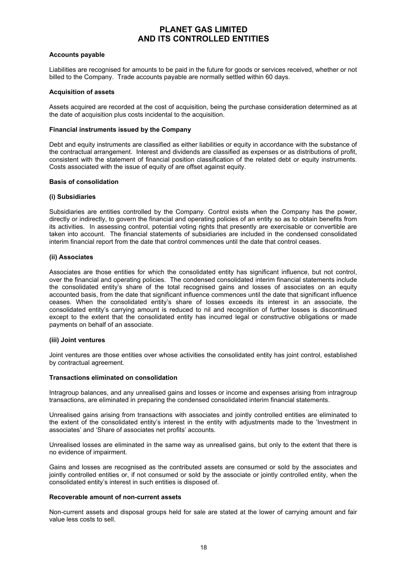#### **Accounts payable**

Liabilities are recognised for amounts to be paid in the future for goods or services received, whether or not billed to the Company. Trade accounts payable are normally settled within 60 days.

#### **Acquisition of assets**

Assets acquired are recorded at the cost of acquisition, being the purchase consideration determined as at the date of acquisition plus costs incidental to the acquisition.

#### **Financial instruments issued by the Company**

Debt and equity instruments are classified as either liabilities or equity in accordance with the substance of the contractual arrangement. Interest and dividends are classified as expenses or as distributions of profit, consistent with the statement of financial position classification of the related debt or equity instruments. Costs associated with the issue of equity of are offset against equity.

#### **Basis of consolidation**

#### **(i) Subsidiaries**

Subsidiaries are entities controlled by the Company. Control exists when the Company has the power, directly or indirectly, to govern the financial and operating policies of an entity so as to obtain benefits from its activities. In assessing control, potential voting rights that presently are exercisable or convertible are taken into account. The financial statements of subsidiaries are included in the condensed consolidated interim financial report from the date that control commences until the date that control ceases.

#### **(ii) Associates**

Associates are those entities for which the consolidated entity has significant influence, but not control, over the financial and operating policies. The condensed consolidated interim financial statements include the consolidated entity's share of the total recognised gains and losses of associates on an equity accounted basis, from the date that significant influence commences until the date that significant influence ceases. When the consolidated entity's share of losses exceeds its interest in an associate, the consolidated entity's carrying amount is reduced to nil and recognition of further losses is discontinued except to the extent that the consolidated entity has incurred legal or constructive obligations or made payments on behalf of an associate.

#### **(iii) Joint ventures**

Joint ventures are those entities over whose activities the consolidated entity has joint control, established by contractual agreement.

#### **Transactions eliminated on consolidation**

Intragroup balances, and any unrealised gains and losses or income and expenses arising from intragroup transactions, are eliminated in preparing the condensed consolidated interim financial statements.

Unrealised gains arising from transactions with associates and jointly controlled entities are eliminated to the extent of the consolidated entity's interest in the entity with adjustments made to the 'Investment in associates' and 'Share of associates net profits' accounts.

Unrealised losses are eliminated in the same way as unrealised gains, but only to the extent that there is no evidence of impairment.

Gains and losses are recognised as the contributed assets are consumed or sold by the associates and jointly controlled entities or, if not consumed or sold by the associate or jointly controlled entity, when the consolidated entity's interest in such entities is disposed of.

#### **Recoverable amount of non-current assets**

Non-current assets and disposal groups held for sale are stated at the lower of carrying amount and fair value less costs to sell.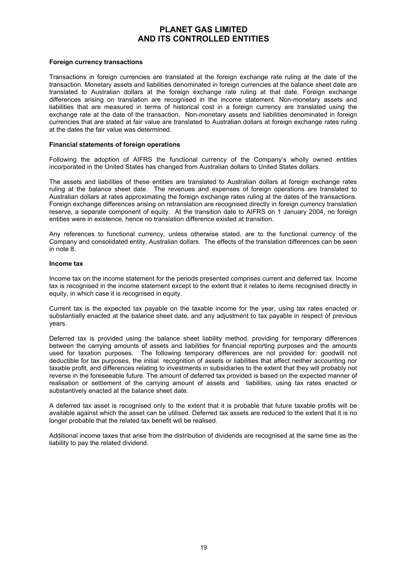#### **Foreign currency transactions**

Transactions in foreign currencies are translated at the foreign exchange rate ruling at the date of the transaction. Monetary assets and liabilities denominated in foreign currencies at the balance sheet date are translated to Australian dollars at the foreign exchange rate ruling at that date. Foreign exchange differences arising on translation are recognised in the income statement. Non-monetary assets and liabilities that are measured in terms of historical cost in a foreign currency are translated using the exchange rate at the date of the transaction. Non-monetary assets and liabilities denominated in foreign currencies that are stated at fair value are translated to Australian dollars at foreign exchange rates ruling at the dates the fair value was determined.

#### **Financial statements of foreign operations**

Following the adoption of AIFRS the functional currency of the Company's wholly owned entities incorporated in the United States has changed from Australian dollars to United States dollars.

The assets and liabilities of these entities are translated to Australian dollars at foreign exchange rates ruling at the balance sheet date. The revenues and expenses of foreign operations are translated to Australian dollars at rates approximating the foreign exchange rates ruling at the dates of the transactions. Foreign exchange differences arising on retranslation are recognised directly in foreign currency translation reserve, a separate component of equity. At the transition date to AIFRS on 1 January 2004, no foreign entities were in existence, hence no translation difference existed at transition.

Any references to functional currency, unless otherwise stated, are to the functional currency of the Company and consolidated entity, Australian dollars. The effects of the translation differences can be seen in note 8.

#### **Income tax**

Income tax on the income statement for the periods presented comprises current and deferred tax. Income tax is recognised in the income statement except to the extent that it relates to items recognised directly in equity, in which case it is recognised in equity.

Current tax is the expected tax payable on the taxable income for the year, using tax rates enacted or substantially enacted at the balance sheet date, and any adjustment to tax payable in respect of previous years.

Deferred tax is provided using the balance sheet liability method, providing for temporary differences between the carrying amounts of assets and liabilities for financial reporting purposes and the amounts used for taxation purposes. The following temporary differences are not provided for: goodwill not deductible for tax purposes, the initial recognition of assets or liabilities that affect neither accounting nor taxable profit, and differences relating to investments in subsidiaries to the extent that they will probably not reverse in the foreseeable future. The amount of deferred tax provided is based on the expected manner of realisation or settlement of the carrying amount of assets and liabilities, using tax rates enacted or substantively enacted at the balance sheet date.

A deferred tax asset is recognised only to the extent that it is probable that future taxable profits will be available against which the asset can be utilised. Deferred tax assets are reduced to the extent that it is no longer probable that the related tax benefit will be realised.

Additional income taxes that arise from the distribution of dividends are recognised at the same time as the liability to pay the related dividend.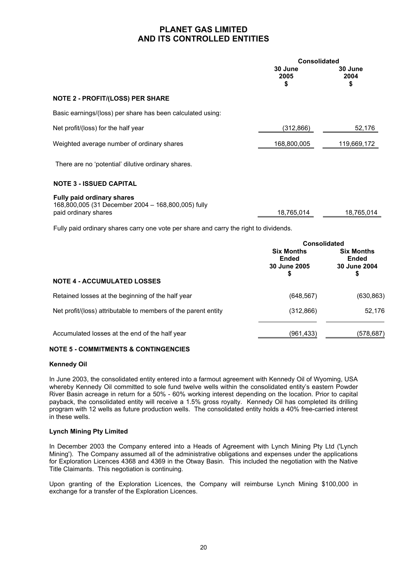|                                                                                                          | <b>Consolidated</b>   |                       |  |
|----------------------------------------------------------------------------------------------------------|-----------------------|-----------------------|--|
|                                                                                                          | 30 June<br>2005<br>\$ | 30 June<br>2004<br>\$ |  |
| NOTE 2 - PROFIT/(LOSS) PER SHARE                                                                         |                       |                       |  |
| Basic earnings/(loss) per share has been calculated using:                                               |                       |                       |  |
| Net profit/(loss) for the half year                                                                      | (312,866)             | 52,176                |  |
| Weighted average number of ordinary shares                                                               | 168,800,005           | 119,669,172           |  |
| There are no 'potential' dilutive ordinary shares.                                                       |                       |                       |  |
| <b>NOTE 3 - ISSUED CAPITAL</b>                                                                           |                       |                       |  |
| Fully paid ordinary shares<br>168,800,005 (31 December 2004 - 168,800,005) fully<br>paid ordinary shares | 18,765,014            | 18,765,014            |  |
|                                                                                                          |                       |                       |  |

Fully paid ordinary shares carry one vote per share and carry the right to dividends.

|                                                                | <b>Consolidated</b>                              |                                                  |  |  |
|----------------------------------------------------------------|--------------------------------------------------|--------------------------------------------------|--|--|
|                                                                | <b>Six Months</b><br>Ended<br>30 June 2005<br>\$ | <b>Six Months</b><br>Ended<br>30 June 2004<br>\$ |  |  |
| <b>NOTE 4 - ACCUMULATED LOSSES</b>                             |                                                  |                                                  |  |  |
| Retained losses at the beginning of the half year              | (648, 567)                                       | (630, 863)                                       |  |  |
| Net profit/(loss) attributable to members of the parent entity | (312, 866)                                       | 52,176                                           |  |  |
|                                                                |                                                  |                                                  |  |  |
| Accumulated losses at the end of the half year                 | (961,433)                                        | (578,687)                                        |  |  |

#### **NOTE 5 - COMMITMENTS & CONTINGENCIES**

#### **Kennedy Oil**

In June 2003, the consolidated entity entered into a farmout agreement with Kennedy Oil of Wyoming, USA whereby Kennedy Oil committed to sole fund twelve wells within the consolidated entity's eastern Powder River Basin acreage in return for a 50% - 60% working interest depending on the location. Prior to capital payback, the consolidated entity will receive a 1.5% gross royalty. Kennedy Oil has completed its drilling program with 12 wells as future production wells. The consolidated entity holds a 40% free-carried interest in these wells.

#### **Lynch Mining Pty Limited**

In December 2003 the Company entered into a Heads of Agreement with Lynch Mining Pty Ltd ('Lynch Mining'). The Company assumed all of the administrative obligations and expenses under the applications for Exploration Licences 4368 and 4369 in the Otway Basin. This included the negotiation with the Native Title Claimants. This negotiation is continuing.

Upon granting of the Exploration Licences, the Company will reimburse Lynch Mining \$100,000 in exchange for a transfer of the Exploration Licences.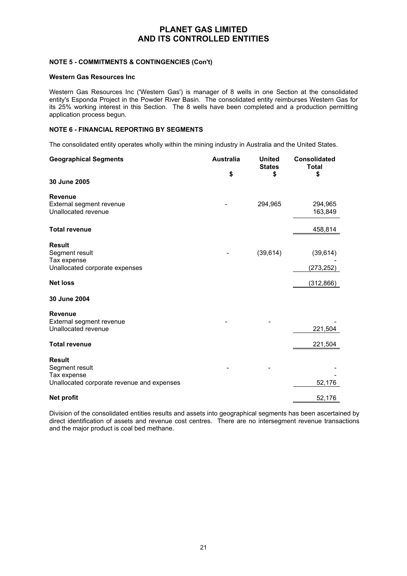#### **NOTE 5 - COMMITMENTS & CONTINGENCIES (Con't)**

#### **Western Gas Resources Inc**

Western Gas Resources Inc ('Western Gas') is manager of 8 wells in one Section at the consolidated entity's Esponda Project in the Powder River Basin. The consolidated entity reimburses Western Gas for its 25% working interest in this Section. The 8 wells have been completed and a production permitting application process begun.

#### **NOTE 6 - FINANCIAL REPORTING BY SEGMENTS**

The consolidated entity operates wholly within the mining industry in Australia and the United States.

| <b>Geographical Segments</b>                              | <b>Australia</b> | <b>United</b><br><b>States</b> | <b>Consolidated</b><br><b>Total</b> |
|-----------------------------------------------------------|------------------|--------------------------------|-------------------------------------|
| 30 June 2005                                              | \$               | \$                             | \$                                  |
| <b>Revenue</b>                                            |                  |                                |                                     |
| External segment revenue<br>Unallocated revenue           |                  | 294,965                        | 294,965<br>163,849                  |
| <b>Total revenue</b>                                      |                  |                                | 458,814                             |
| <b>Result</b>                                             |                  |                                |                                     |
| Segment result<br>Tax expense                             |                  | (39, 614)                      | (39, 614)                           |
| Unallocated corporate expenses                            |                  |                                | (273, 252)                          |
| <b>Net loss</b>                                           |                  |                                | (312, 866)                          |
| 30 June 2004                                              |                  |                                |                                     |
| <b>Revenue</b>                                            |                  |                                |                                     |
| External segment revenue<br>Unallocated revenue           |                  |                                | 221,504                             |
| <b>Total revenue</b>                                      |                  |                                | 221,504                             |
| <b>Result</b>                                             |                  |                                |                                     |
| Segment result                                            |                  |                                |                                     |
| Tax expense<br>Unallocated corporate revenue and expenses |                  |                                | 52,176                              |
| <b>Net profit</b>                                         |                  |                                | 52,176                              |

Division of the consolidated entities results and assets into geographical segments has been ascertained by direct identification of assets and revenue cost centres. There are no intersegment revenue transactions and the major product is coal bed methane.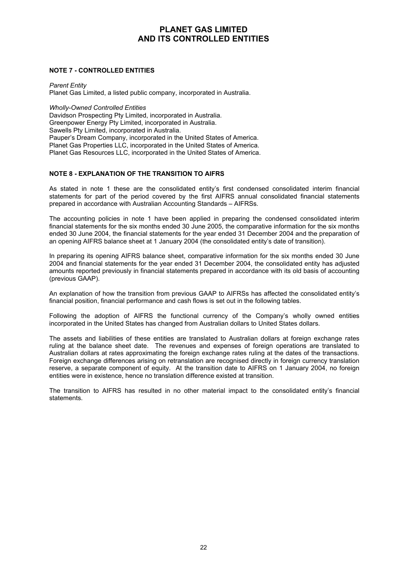#### **NOTE 7 - CONTROLLED ENTITIES**

*Parent Entity*  Planet Gas Limited, a listed public company, incorporated in Australia.

*Wholly-Owned Controlled Entities*  Davidson Prospecting Pty Limited, incorporated in Australia. Greenpower Energy Pty Limited, incorporated in Australia. Sawells Pty Limited, incorporated in Australia. Pauper's Dream Company, incorporated in the United States of America. Planet Gas Properties LLC, incorporated in the United States of America. Planet Gas Resources LLC, incorporated in the United States of America.

### **NOTE 8 - EXPLANATION OF THE TRANSITION TO AIFRS**

As stated in note 1 these are the consolidated entity's first condensed consolidated interim financial statements for part of the period covered by the first AIFRS annual consolidated financial statements prepared in accordance with Australian Accounting Standards – AIFRSs.

The accounting policies in note 1 have been applied in preparing the condensed consolidated interim financial statements for the six months ended 30 June 2005, the comparative information for the six months ended 30 June 2004, the financial statements for the year ended 31 December 2004 and the preparation of an opening AIFRS balance sheet at 1 January 2004 (the consolidated entity's date of transition).

In preparing its opening AIFRS balance sheet, comparative information for the six months ended 30 June 2004 and financial statements for the year ended 31 December 2004, the consolidated entity has adjusted amounts reported previously in financial statements prepared in accordance with its old basis of accounting (previous GAAP).

An explanation of how the transition from previous GAAP to AIFRSs has affected the consolidated entity's financial position, financial performance and cash flows is set out in the following tables.

Following the adoption of AIFRS the functional currency of the Company's wholly owned entities incorporated in the United States has changed from Australian dollars to United States dollars.

The assets and liabilities of these entities are translated to Australian dollars at foreign exchange rates ruling at the balance sheet date. The revenues and expenses of foreign operations are translated to Australian dollars at rates approximating the foreign exchange rates ruling at the dates of the transactions. Foreign exchange differences arising on retranslation are recognised directly in foreign currency translation reserve, a separate component of equity. At the transition date to AIFRS on 1 January 2004, no foreign entities were in existence, hence no translation difference existed at transition.

The transition to AIFRS has resulted in no other material impact to the consolidated entity's financial statements.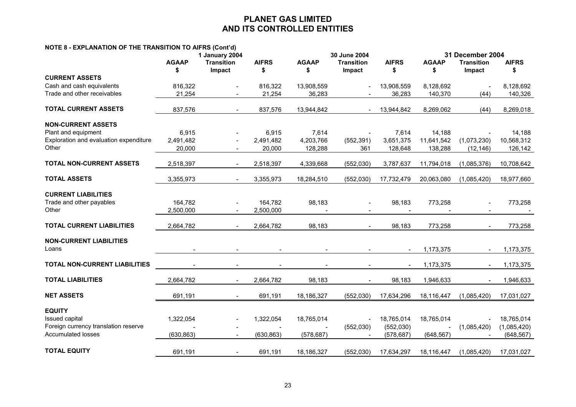### **NOTE 8 - EXPLANATION OF THE TRANSITION TO AIFRS (Cont'd)**

|                                        | 1 January 2004 |                   |              | 30 June 2004 |                          |              | 31 December 2004 |                   |              |
|----------------------------------------|----------------|-------------------|--------------|--------------|--------------------------|--------------|------------------|-------------------|--------------|
|                                        | <b>AGAAP</b>   | <b>Transition</b> | <b>AIFRS</b> | <b>AGAAP</b> | <b>Transition</b>        | <b>AIFRS</b> | <b>AGAAP</b>     | <b>Transition</b> | <b>AIFRS</b> |
|                                        | \$             | Impact            | \$           | \$           | Impact                   | \$           | \$               | Impact            | \$           |
| <b>CURRENT ASSETS</b>                  |                |                   |              |              |                          |              |                  |                   |              |
| Cash and cash equivalents              | 816,322        |                   | 816,322      | 13,908,559   |                          | 13,908,559   | 8,128,692        |                   | 8,128,692    |
| Trade and other receivables            | 21,254         |                   | 21,254       | 36,283       |                          | 36,283       | 140,370          | (44)              | 140,326      |
|                                        |                |                   |              |              |                          |              |                  |                   |              |
| <b>TOTAL CURRENT ASSETS</b>            | 837,576        |                   | 837,576      | 13,944,842   |                          | 13,944,842   | 8,269,062        | (44)              | 8,269,018    |
| <b>NON-CURRENT ASSETS</b>              |                |                   |              |              |                          |              |                  |                   |              |
| Plant and equipment                    | 6,915          |                   | 6,915        | 7,614        |                          | 7,614        | 14,188           |                   | 14,188       |
| Exploration and evaluation expenditure | 2,491,482      |                   | 2,491,482    | 4,203,766    | (552, 391)               | 3,651,375    | 11,641,542       | (1,073,230)       | 10,568,312   |
| Other                                  | 20,000         |                   | 20,000       | 128,288      | 361                      | 128,648      | 138,288          | (12, 146)         | 126,142      |
|                                        |                |                   |              |              |                          |              |                  |                   |              |
| <b>TOTAL NON-CURRENT ASSETS</b>        | 2,518,397      |                   | 2,518,397    | 4,339,668    | (552,030)                | 3,787,637    | 11,794,018       | (1,085,376)       | 10,708,642   |
| <b>TOTAL ASSETS</b>                    | 3,355,973      |                   | 3,355,973    | 18,284,510   | (552,030)                | 17,732,479   | 20,063,080       | (1,085,420)       | 18,977,660   |
| <b>CURRENT LIABILITIES</b>             |                |                   |              |              |                          |              |                  |                   |              |
| Trade and other payables               | 164,782        |                   | 164,782      | 98,183       |                          | 98,183       | 773,258          |                   | 773,258      |
| Other                                  | 2,500,000      |                   | 2,500,000    |              |                          |              |                  |                   |              |
|                                        |                |                   |              |              |                          |              |                  |                   |              |
| <b>TOTAL CURRENT LIABILITIES</b>       | 2,664,782      |                   | 2,664,782    | 98,183       |                          | 98,183       | 773,258          |                   | 773,258      |
| <b>NON-CURRENT LIABILITIES</b>         |                |                   |              |              |                          |              |                  |                   |              |
| Loans                                  |                |                   |              |              |                          |              | 1,173,375        |                   | 1,173,375    |
|                                        |                |                   |              |              |                          |              |                  |                   |              |
| <b>TOTAL NON-CURRENT LIABILITIES</b>   |                |                   |              |              | $\overline{\phantom{a}}$ |              | 1,173,375        | $\sim$            | 1,173,375    |
| <b>TOTAL LIABILITIES</b>               | 2,664,782      |                   | 2,664,782    | 98,183       |                          | 98,183       | 1,946,633        |                   | 1,946,633    |
|                                        |                |                   |              |              |                          |              |                  |                   |              |
| <b>NET ASSETS</b>                      | 691,191        |                   | 691,191      | 18,186,327   | (552,030)                | 17,634,296   | 18,116,447       | (1,085,420)       | 17,031,027   |
| <b>EQUITY</b>                          |                |                   |              |              |                          |              |                  |                   |              |
| Issued capital                         | 1,322,054      |                   | 1,322,054    | 18,765,014   |                          | 18,765,014   | 18,765,014       |                   | 18,765,014   |
| Foreign currency translation reserve   |                |                   |              |              |                          | (552,030)    |                  |                   | (1,085,420)  |
| <b>Accumulated losses</b>              | (630, 863)     | $\blacksquare$    | (630, 863)   | (578, 687)   | (552,030)                | (578, 687)   | (648, 567)       | (1,085,420)       | (648, 567)   |
|                                        |                |                   |              |              |                          |              |                  |                   |              |
| <b>TOTAL EQUITY</b>                    | 691,191        |                   | 691,191      | 18,186,327   | (552,030)                | 17,634,297   | 18,116,447       | (1,085,420)       | 17,031,027   |
|                                        |                |                   |              |              |                          |              |                  |                   |              |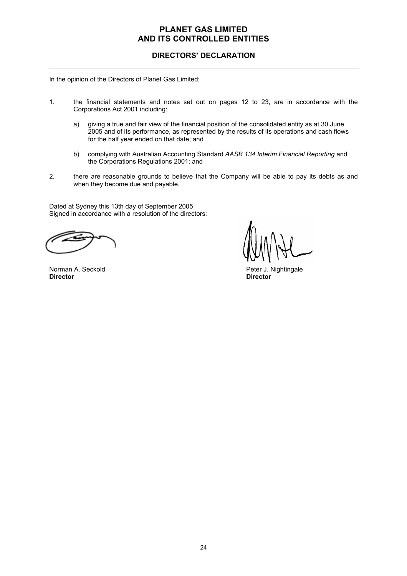#### **DIRECTORS' DECLARATION**

In the opinion of the Directors of Planet Gas Limited:

- 1. the financial statements and notes set out on pages 12 to 23, are in accordance with the Corporations Act 2001 including:
	- a) giving a true and fair view of the financial position of the consolidated entity as at 30 June 2005 and of its performance, as represented by the results of its operations and cash flows for the half year ended on that date; and
	- b) complying with Australian Accounting Standard *AASB 134 Interim Financial Reporting* and the Corporations Regulations 2001; and
- 2. there are reasonable grounds to believe that the Company will be able to pay its debts as and when they become due and payable.

Dated at Sydney this 13th day of September 2005 Signed in accordance with a resolution of the directors:

Norman A. Seckold **Peter J. Nightingale Director Director**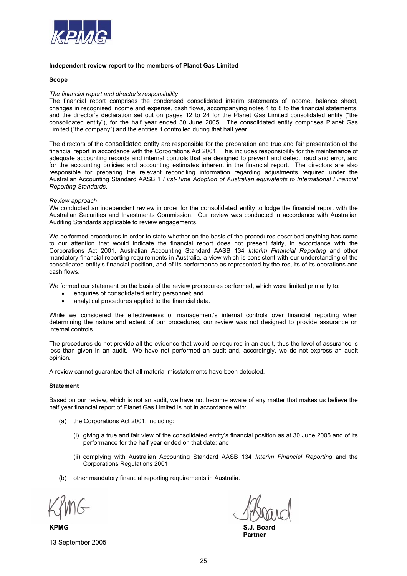

#### **Independent review report to the members of Planet Gas Limited**

#### **Scope**

#### *The financial report and director's responsibility*

The financial report comprises the condensed consolidated interim statements of income, balance sheet, changes in recognised income and expense, cash flows, accompanying notes 1 to 8 to the financial statements, and the director's declaration set out on pages 12 to 24 for the Planet Gas Limited consolidated entity ("the consolidated entity"), for the half year ended 30 June 2005. The consolidated entity comprises Planet Gas Limited ("the company") and the entities it controlled during that half year.

The directors of the consolidated entity are responsible for the preparation and true and fair presentation of the financial report in accordance with the Corporations Act 2001. This includes responsibility for the maintenance of adequate accounting records and internal controls that are designed to prevent and detect fraud and error, and for the accounting policies and accounting estimates inherent in the financial report. The directors are also responsible for preparing the relevant reconciling information regarding adjustments required under the Australian Accounting Standard AASB 1 *First-Time Adoption of Australian equivalents to International Financial Reporting Standards*.

#### *Review approach*

We conducted an independent review in order for the consolidated entity to lodge the financial report with the Australian Securities and Investments Commission. Our review was conducted in accordance with Australian Auditing Standards applicable to review engagements.

We performed procedures in order to state whether on the basis of the procedures described anything has come to our attention that would indicate the financial report does not present fairly, in accordance with the Corporations Act 2001, Australian Accounting Standard AASB 134 *Interim Financial Reporting* and other mandatory financial reporting requirements in Australia, a view which is consistent with our understanding of the consolidated entity's financial position, and of its performance as represented by the results of its operations and cash flows.

We formed our statement on the basis of the review procedures performed, which were limited primarily to:

- enquiries of consolidated entity personnel; and
- analytical procedures applied to the financial data.

While we considered the effectiveness of management's internal controls over financial reporting when determining the nature and extent of our procedures, our review was not designed to provide assurance on internal controls.

The procedures do not provide all the evidence that would be required in an audit, thus the level of assurance is less than given in an audit. We have not performed an audit and, accordingly, we do not express an audit opinion.

A review cannot guarantee that all material misstatements have been detected.

#### **Statement**

Based on our review, which is not an audit, we have not become aware of any matter that makes us believe the half year financial report of Planet Gas Limited is not in accordance with:

- (a) the Corporations Act 2001, including:
	- (i) giving a true and fair view of the consolidated entity's financial position as at 30 June 2005 and of its performance for the half year ended on that date; and
	- (ii) complying with Australian Accounting Standard AASB 134 *Interim Financial Reporting* and the Corporations Regulations 2001;
- (b) other mandatory financial reporting requirements in Australia.

13 September 2005

**KPMG** S.J. Board **Partner Partner Partner**